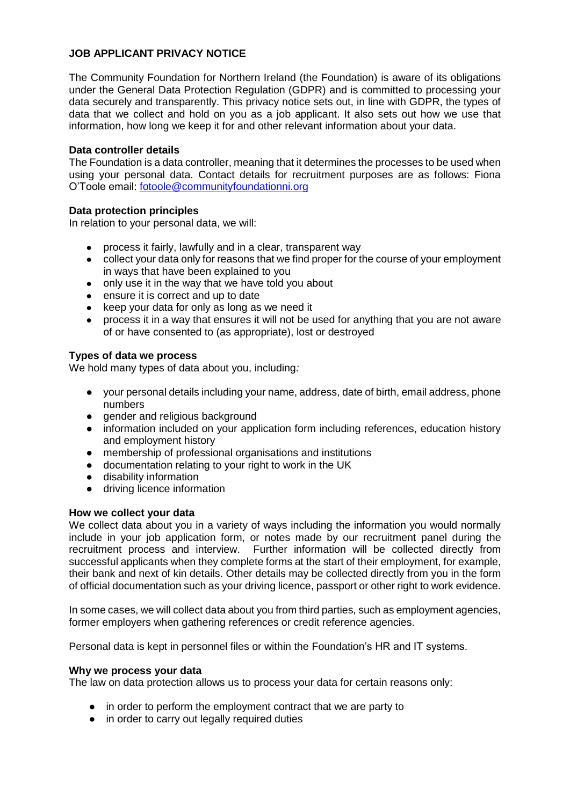# **JOB APPLICANT PRIVACY NOTICE**

The Community Foundation for Northern Ireland (the Foundation) is aware of its obligations under the General Data Protection Regulation (GDPR) and is committed to processing your data securely and transparently. This privacy notice sets out, in line with GDPR, the types of data that we collect and hold on you as a job applicant. It also sets out how we use that information, how long we keep it for and other relevant information about your data.

## **Data controller details**

The Foundation is a data controller, meaning that it determines the processes to be used when using your personal data. Contact details for recruitment purposes are as follows: Fiona O'Toole email: [fotoole@communityfoundationni.org](mailto:fotoole@communityfoundationni.org)

## **Data protection principles**

In relation to your personal data, we will:

- process it fairly, lawfully and in a clear, transparent way
- collect your data only for reasons that we find proper for the course of your employment in ways that have been explained to you
- only use it in the way that we have told you about
- ensure it is correct and up to date
- keep your data for only as long as we need it
- process it in a way that ensures it will not be used for anything that you are not aware of or have consented to (as appropriate), lost or destroyed

## **Types of data we process**

We hold many types of data about you, including*:*

- your personal details including your name, address, date of birth, email address, phone numbers
- gender and religious background
- information included on your application form including references, education history and employment history
- membership of professional organisations and institutions
- documentation relating to your right to work in the UK
- disability information
- driving licence information

### **How we collect your data**

We collect data about you in a variety of ways including the information you would normally include in your job application form, or notes made by our recruitment panel during the recruitment process and interview. Further information will be collected directly from successful applicants when they complete forms at the start of their employment, for example, their bank and next of kin details. Other details may be collected directly from you in the form of official documentation such as your driving licence, passport or other right to work evidence.

In some cases, we will collect data about you from third parties, such as employment agencies, former employers when gathering references or credit reference agencies.

Personal data is kept in personnel files or within the Foundation's HR and IT systems.

### **Why we process your data**

The law on data protection allows us to process your data for certain reasons only:

- in order to perform the employment contract that we are party to
- in order to carry out legally required duties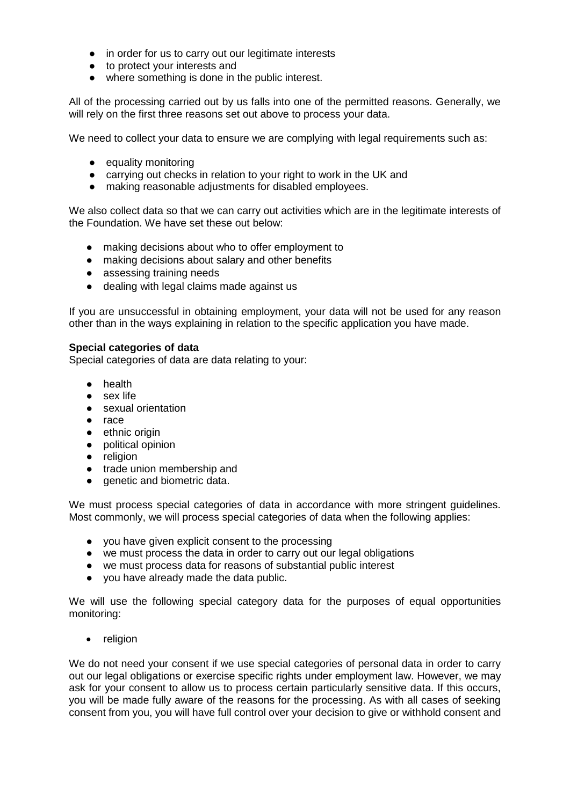- in order for us to carry out our legitimate interests
- to protect your interests and
- where something is done in the public interest.

All of the processing carried out by us falls into one of the permitted reasons. Generally, we will rely on the first three reasons set out above to process your data.

We need to collect your data to ensure we are complying with legal requirements such as:

- equality monitoring
- carrving out checks in relation to your right to work in the UK and
- making reasonable adjustments for disabled employees.

We also collect data so that we can carry out activities which are in the legitimate interests of the Foundation. We have set these out below:

- making decisions about who to offer employment to
- making decisions about salary and other benefits
- assessing training needs
- dealing with legal claims made against us

If you are unsuccessful in obtaining employment, your data will not be used for any reason other than in the ways explaining in relation to the specific application you have made.

## **Special categories of data**

Special categories of data are data relating to your:

- health
- sex life
- sexual orientation
- race
- ethnic origin
- political opinion
- religion
- trade union membership and
- genetic and biometric data.

We must process special categories of data in accordance with more stringent guidelines. Most commonly, we will process special categories of data when the following applies:

- you have given explicit consent to the processing
- we must process the data in order to carry out our legal obligations
- we must process data for reasons of substantial public interest
- you have already made the data public.

We will use the following special category data for the purposes of equal opportunities monitoring:

• religion

We do not need your consent if we use special categories of personal data in order to carry out our legal obligations or exercise specific rights under employment law. However, we may ask for your consent to allow us to process certain particularly sensitive data. If this occurs, you will be made fully aware of the reasons for the processing. As with all cases of seeking consent from you, you will have full control over your decision to give or withhold consent and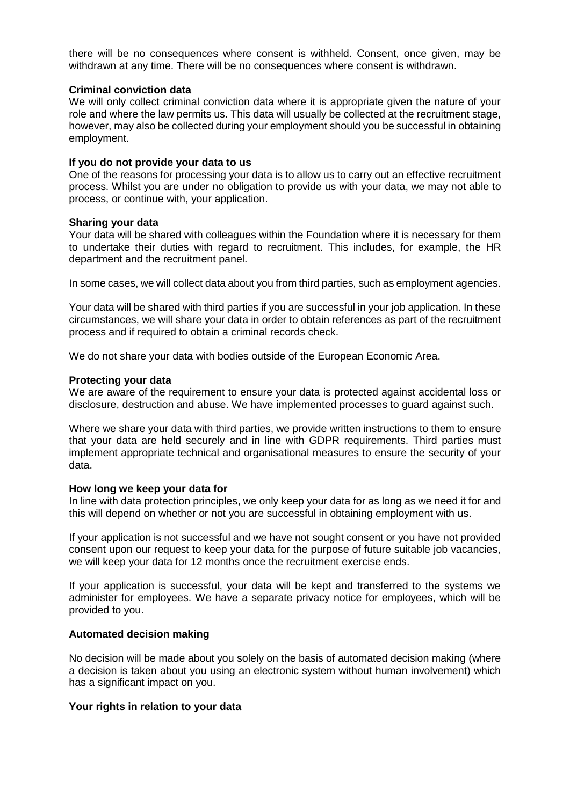there will be no consequences where consent is withheld. Consent, once given, may be withdrawn at any time. There will be no consequences where consent is withdrawn.

### **Criminal conviction data**

We will only collect criminal conviction data where it is appropriate given the nature of your role and where the law permits us. This data will usually be collected at the recruitment stage, however, may also be collected during your employment should you be successful in obtaining employment.

### **If you do not provide your data to us**

One of the reasons for processing your data is to allow us to carry out an effective recruitment process. Whilst you are under no obligation to provide us with your data, we may not able to process, or continue with, your application.

### **Sharing your data**

Your data will be shared with colleagues within the Foundation where it is necessary for them to undertake their duties with regard to recruitment. This includes, for example, the HR department and the recruitment panel.

In some cases, we will collect data about you from third parties, such as employment agencies.

Your data will be shared with third parties if you are successful in your job application. In these circumstances, we will share your data in order to obtain references as part of the recruitment process and if required to obtain a criminal records check.

We do not share your data with bodies outside of the European Economic Area.

### **Protecting your data**

We are aware of the requirement to ensure your data is protected against accidental loss or disclosure, destruction and abuse. We have implemented processes to guard against such.

Where we share your data with third parties, we provide written instructions to them to ensure that your data are held securely and in line with GDPR requirements. Third parties must implement appropriate technical and organisational measures to ensure the security of your data.

### **How long we keep your data for**

In line with data protection principles, we only keep your data for as long as we need it for and this will depend on whether or not you are successful in obtaining employment with us.

If your application is not successful and we have not sought consent or you have not provided consent upon our request to keep your data for the purpose of future suitable job vacancies, we will keep your data for 12 months once the recruitment exercise ends.

If your application is successful, your data will be kept and transferred to the systems we administer for employees. We have a separate privacy notice for employees, which will be provided to you.

## **Automated decision making**

No decision will be made about you solely on the basis of automated decision making (where a decision is taken about you using an electronic system without human involvement) which has a significant impact on you.

### **Your rights in relation to your data**